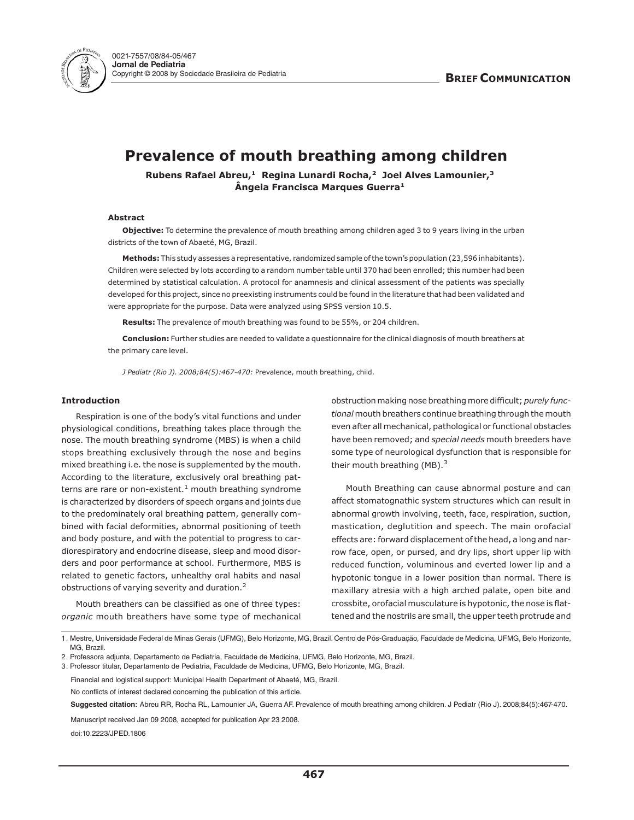

# **Prevalence of mouth breathing among children**

**Rubens Rafael Abreu,<sup>1</sup> Regina Lunardi Rocha,<sup>2</sup> Joel Alves Lamounier,<sup>3</sup> Ângela Francisca Marques Guerra<sup>1</sup>**

#### **Abstract**

**Objective:** To determine the prevalence of mouth breathing among children aged 3 to 9 years living in the urban districts of the town of Abaeté, MG, Brazil.

**Methods:** This study assesses a representative, randomized sample of the town's population (23,596 inhabitants). Children were selected by lots according to a random number table until 370 had been enrolled; this number had been determined by statistical calculation. A protocol for anamnesis and clinical assessment of the patients was specially developed for this project, since no preexisting instruments could be found in the literature that had been validated and were appropriate for the purpose. Data were analyzed using SPSS version 10.5.

**Results:** The prevalence of mouth breathing was found to be 55%, or 204 children.

**Conclusion:** Further studies are needed to validate a questionnaire for the clinical diagnosis of mouth breathers at the primary care level.

*J Pediatr (Rio J). 2008;84(5):467-470:* Prevalence, mouth breathing, child.

### **Introduction**

Respiration is one of the body's vital functions and under physiological conditions, breathing takes place through the nose. The mouth breathing syndrome (MBS) is when a child stops breathing exclusively through the nose and begins mixed breathing i.e. the nose is supplemented by the mouth. According to the literature, exclusively oral breathing patterns are rare or non-existent. $1$  mouth breathing syndrome is characterized by disorders of speech organs and joints due to the predominately oral breathing pattern, generally combined with facial deformities, abnormal positioning of teeth and body posture, and with the potential to progress to cardiorespiratory and endocrine disease, sleep and mood disorders and poor performance at school. Furthermore, MBS is related to genetic factors, unhealthy oral habits and nasal obstructions of varying severity and duration.2

Mouth breathers can be classified as one of three types: *organic* mouth breathers have some type of mechanical obstruction making nose breathing more difficult; *purely functional* mouth breathers continue breathing through the mouth even after all mechanical, pathological or functional obstacles have been removed; and *special needs* mouth breeders have some type of neurological dysfunction that is responsible for their mouth breathing (MB).<sup>3</sup>

Mouth Breathing can cause abnormal posture and can affect stomatognathic system structures which can result in abnormal growth involving, teeth, face, respiration, suction, mastication, deglutition and speech. The main orofacial effects are: forward displacement of the head, a long and narrow face, open, or pursed, and dry lips, short upper lip with reduced function, voluminous and everted lower lip and a hypotonic tongue in a lower position than normal. There is maxillary atresia with a high arched palate, open bite and crossbite, orofacial musculature is hypotonic, the nose is flattened and the nostrils are small, the upper teeth protrude and

1. Mestre, Universidade Federal de Minas Gerais (UFMG), Belo Horizonte, MG, Brazil. Centro de Pós-Graduação, Faculdade de Medicina, UFMG, Belo Horizonte, MG, Brazil.

2. Professora adjunta, Departamento de Pediatria, Faculdade de Medicina, UFMG, Belo Horizonte, MG, Brazil.

3. Professor titular, Departamento de Pediatria, Faculdade de Medicina, UFMG, Belo Horizonte, MG, Brazil.

Financial and logistical support: Municipal Health Department of Abaeté, MG, Brazil.

No conflicts of interest declared concerning the publication of this article.

**Suggested citation:** Abreu RR, Rocha RL, Lamounier JA, Guerra AF. Prevalence of mouth breathing among children. J Pediatr (Rio J). 2008;84(5):467-470.

Manuscript received Jan 09 2008, accepted for publication Apr 23 2008.

doi:10.2223/JPED.1806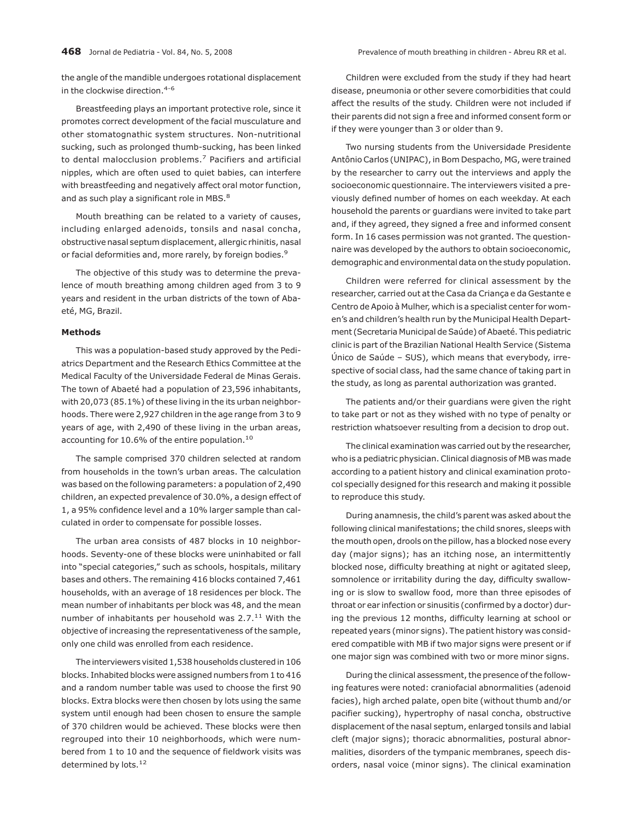the angle of the mandible undergoes rotational displacement in the clockwise direction.<sup>4-6</sup>

Breastfeeding plays an important protective role, since it promotes correct development of the facial musculature and other stomatognathic system structures. Non-nutritional sucking, such as prolonged thumb-sucking, has been linked to dental malocclusion problems.<sup>7</sup> Pacifiers and artificial nipples, which are often used to quiet babies, can interfere with breastfeeding and negatively affect oral motor function, and as such play a significant role in MBS.<sup>8</sup>

Mouth breathing can be related to a variety of causes, including enlarged adenoids, tonsils and nasal concha, obstructive nasal septum displacement, allergic rhinitis, nasal or facial deformities and, more rarely, by foreign bodies.<sup>9</sup>

The objective of this study was to determine the prevalence of mouth breathing among children aged from 3 to 9 years and resident in the urban districts of the town of Abaeté, MG, Brazil.

### **Methods**

This was a population-based study approved by the Pediatrics Department and the Research Ethics Committee at the Medical Faculty of the Universidade Federal de Minas Gerais. The town of Abaeté had a population of 23,596 inhabitants, with 20,073 (85.1%) of these living in the its urban neighborhoods. There were 2,927 children in the age range from 3 to 9 years of age, with 2,490 of these living in the urban areas, accounting for 10.6% of the entire population.<sup>10</sup>

The sample comprised 370 children selected at random from households in the town's urban areas. The calculation was based on the following parameters: a population of 2,490 children, an expected prevalence of 30.0%, a design effect of 1, a 95% confidence level and a 10% larger sample than calculated in order to compensate for possible losses.

The urban area consists of 487 blocks in 10 neighborhoods. Seventy-one of these blocks were uninhabited or fall into "special categories," such as schools, hospitals, military bases and others. The remaining 416 blocks contained 7,461 households, with an average of 18 residences per block. The mean number of inhabitants per block was 48, and the mean number of inhabitants per household was  $2.7<sup>11</sup>$  With the objective of increasing the representativeness of the sample, only one child was enrolled from each residence.

The interviewers visited 1,538 households clustered in 106 blocks. Inhabited blocks were assigned numbers from 1 to 416 and a random number table was used to choose the first 90 blocks. Extra blocks were then chosen by lots using the same system until enough had been chosen to ensure the sample of 370 children would be achieved. These blocks were then regrouped into their 10 neighborhoods, which were numbered from 1 to 10 and the sequence of fieldwork visits was determined by lots.<sup>12</sup>

**468** Jornal de Pediatria - Vol. 84, No. 5, 2008 **Prevalence of mouth breathing in children** - Abreu RR et al.

Children were excluded from the study if they had heart disease, pneumonia or other severe comorbidities that could affect the results of the study. Children were not included if their parents did not sign a free and informed consent form or if they were younger than 3 or older than 9.

Two nursing students from the Universidade Presidente Antônio Carlos (UNIPAC), in Bom Despacho, MG, were trained by the researcher to carry out the interviews and apply the socioeconomic questionnaire. The interviewers visited a previously defined number of homes on each weekday. At each household the parents or guardians were invited to take part and, if they agreed, they signed a free and informed consent form. In 16 cases permission was not granted. The questionnaire was developed by the authors to obtain socioeconomic, demographic and environmental data on the study population.

Children were referred for clinical assessment by the researcher, carried out at the Casa da Criança e da Gestante e Centro de Apoio à Mulher, which is a specialist center for women's and children's health run by the Municipal Health Department (Secretaria Municipal de Saúde) of Abaeté. This pediatric clinic is part of the Brazilian National Health Service (Sistema Único de Saúde – SUS), which means that everybody, irrespective of social class, had the same chance of taking part in the study, as long as parental authorization was granted.

The patients and/or their guardians were given the right to take part or not as they wished with no type of penalty or restriction whatsoever resulting from a decision to drop out.

The clinical examination was carried out by the researcher, who is a pediatric physician. Clinical diagnosis of MB was made according to a patient history and clinical examination protocol specially designed for this research and making it possible to reproduce this study.

During anamnesis, the child's parent was asked about the following clinical manifestations; the child snores, sleeps with the mouth open, drools on the pillow, has a blocked nose every day (major signs); has an itching nose, an intermittently blocked nose, difficulty breathing at night or agitated sleep, somnolence or irritability during the day, difficulty swallowing or is slow to swallow food, more than three episodes of throat or ear infection or sinusitis (confirmed by a doctor) during the previous 12 months, difficulty learning at school or repeated years (minor signs). The patient history was considered compatible with MB if two major signs were present or if one major sign was combined with two or more minor signs.

During the clinical assessment, the presence of the following features were noted: craniofacial abnormalities (adenoid facies), high arched palate, open bite (without thumb and/or pacifier sucking), hypertrophy of nasal concha, obstructive displacement of the nasal septum, enlarged tonsils and labial cleft (major signs); thoracic abnormalities, postural abnormalities, disorders of the tympanic membranes, speech disorders, nasal voice (minor signs). The clinical examination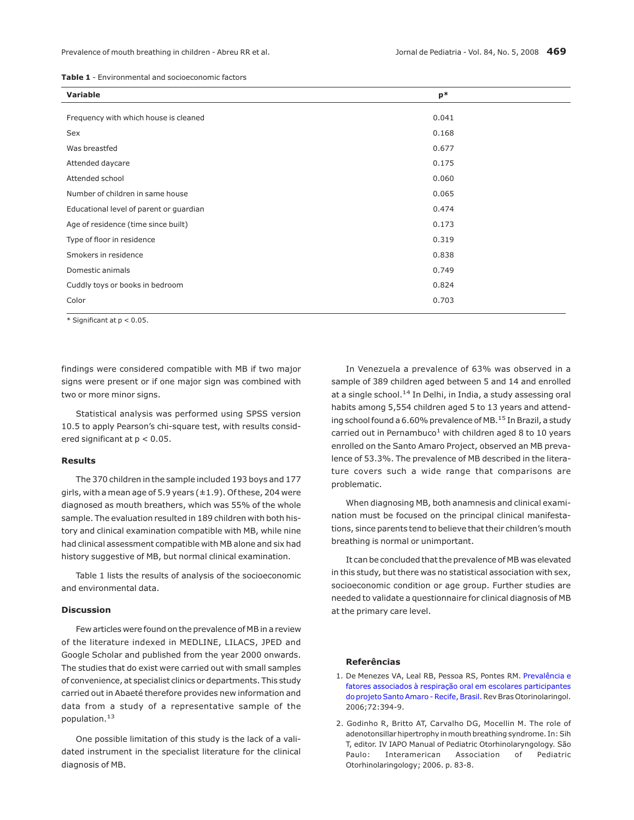| <b>Table 1</b> - Environmental and socioeconomic factors |  |  |
|----------------------------------------------------------|--|--|
|----------------------------------------------------------|--|--|

| <b>Variable</b>                         | $p*$  |
|-----------------------------------------|-------|
|                                         |       |
| Frequency with which house is cleaned   | 0.041 |
| Sex                                     | 0.168 |
| Was breastfed                           | 0.677 |
| Attended daycare                        | 0.175 |
| Attended school                         | 0.060 |
| Number of children in same house        | 0.065 |
| Educational level of parent or guardian | 0.474 |
| Age of residence (time since built)     | 0.173 |
| Type of floor in residence              | 0.319 |
| Smokers in residence                    | 0.838 |
| Domestic animals                        | 0.749 |
| Cuddly toys or books in bedroom         | 0.824 |
| Color                                   | 0.703 |

\* Significant at p < 0.05.

findings were considered compatible with MB if two major signs were present or if one major sign was combined with two or more minor signs.

Statistical analysis was performed using SPSS version 10.5 to apply Pearson's chi-square test, with results considered significant at p < 0.05.

### **Results**

The 370 children in the sample included 193 boys and 177 girls, with a mean age of 5.9 years  $(\pm 1.9)$ . Of these, 204 were diagnosed as mouth breathers, which was 55% of the whole sample. The evaluation resulted in 189 children with both history and clinical examination compatible with MB, while nine had clinical assessment compatible with MB alone and six had history suggestive of MB, but normal clinical examination.

Table 1 lists the results of analysis of the socioeconomic and environmental data.

## **Discussion**

Few articles were found on the prevalence of MB in a review of the literature indexed in MEDLINE, LILACS, JPED and Google Scholar and published from the year 2000 onwards. The studies that do exist were carried out with small samples of convenience, at specialist clinics or departments. This study carried out in Abaeté therefore provides new information and data from a study of a representative sample of the population.<sup>13</sup>

One possible limitation of this study is the lack of a validated instrument in the specialist literature for the clinical diagnosis of MB.

In Venezuela a prevalence of 63% was observed in a sample of 389 children aged between 5 and 14 and enrolled at a single school. $14$  In Delhi, in India, a study assessing oral habits among 5,554 children aged 5 to 13 years and attending school found a 6.60% prevalence of MB.<sup>15</sup> In Brazil, a study carried out in Pernambuco<sup>1</sup> with children aged 8 to 10 years enrolled on the Santo Amaro Project, observed an MB prevalence of 53.3%. The prevalence of MB described in the literature covers such a wide range that comparisons are problematic.

When diagnosing MB, both anamnesis and clinical examination must be focused on the principal clinical manifestations, since parents tend to believe that their children's mouth breathing is normal or unimportant.

It can be concluded that the prevalence of MB was elevated in this study, but there was no statistical association with sex, socioeconomic condition or age group. Further studies are needed to validate a questionnaire for clinical diagnosis of MB at the primary care level.

#### **Referências**

- 1. De Menezes VA, Leal RB, Pessoa RS, Pontes RM. [Prevalência e](http://www.ncbi.nlm.nih.gov/entrez/query.fcgi?cmd=Retrieve&db=pubmed&dopt=abstract&list_uids=17119778) [fatores associados à respiração oral em escolares participantes](http://www.ncbi.nlm.nih.gov/entrez/query.fcgi?cmd=Retrieve&db=pubmed&dopt=abstract&list_uids=17119778) [do projeto Santo Amaro - Recife, Brasil.](http://www.ncbi.nlm.nih.gov/entrez/query.fcgi?cmd=Retrieve&db=pubmed&dopt=abstract&list_uids=17119778)Rev Bras Otorinolaringol. 2006;72:394-9.
- 2. Godinho R, Britto AT, Carvalho DG, Mocellin M. The role of adenotonsillar hipertrophy in mouth breathing syndrome. In: Sih T, editor. IV IAPO Manual of Pediatric Otorhinolaryngology. São Paulo: Interamerican Association of Pediatric Otorhinolaringology; 2006. p. 83-8.